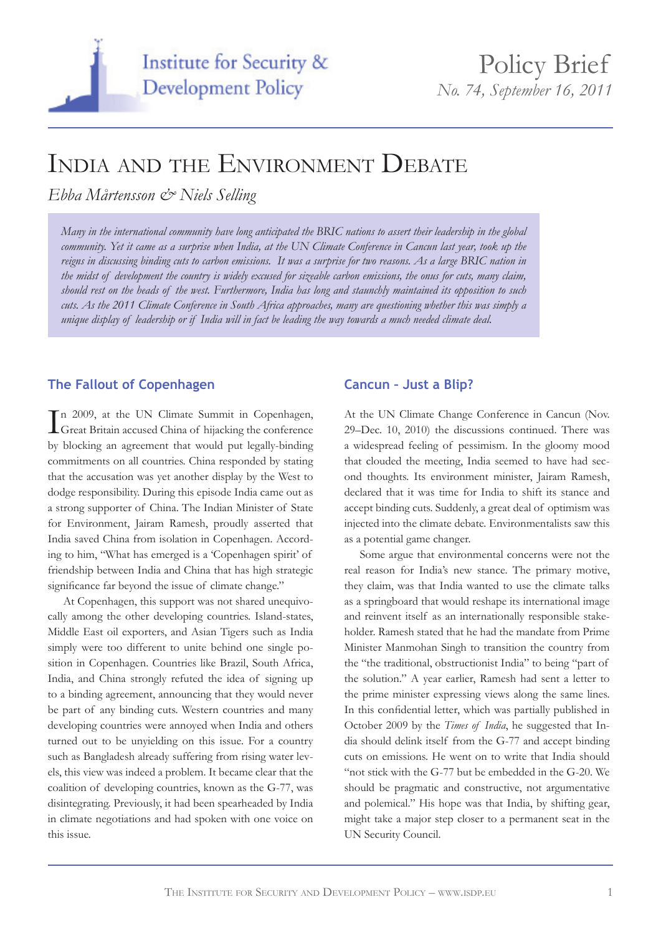

# INDIA AND THE ENVIRONMENT DEBATE

*Ebba Mårtensson & Niels Selling*

*Many in the international community have long anticipated the BRIC nations to assert their leadership in the global community. Yet it came as a surprise when India, at the UN Climate Conference in Cancun last year, took up the reigns in discussing binding cuts to carbon emissions. It was a surprise for two reasons. As a large BRIC nation in the midst of development the country is widely excused for sizeable carbon emissions, the onus for cuts, many claim, should rest on the heads of the west. Furthermore, India has long and staunchly maintained its opposition to such cuts. As the 2011 Climate Conference in South Africa approaches, many are questioning whether this was simply a unique display of leadership or if India will in fact be leading the way towards a much needed climate deal.*

# **The Fallout of Copenhagen**

In 2009, at the UN Climate Summit in Copenhagen,<br>Great Britain accused China of hijacking the conference Great Britain accused China of hijacking the conference by blocking an agreement that would put legally-binding commitments on all countries. China responded by stating that the accusation was yet another display by the West to dodge responsibility. During this episode India came out as a strong supporter of China. The Indian Minister of State for Environment, Jairam Ramesh, proudly asserted that India saved China from isolation in Copenhagen. According to him, "What has emerged is a 'Copenhagen spirit' of friendship between India and China that has high strategic significance far beyond the issue of climate change."

At Copenhagen, this support was not shared unequivocally among the other developing countries. Island-states, Middle East oil exporters, and Asian Tigers such as India simply were too different to unite behind one single position in Copenhagen. Countries like Brazil, South Africa, India, and China strongly refuted the idea of signing up to a binding agreement, announcing that they would never be part of any binding cuts. Western countries and many developing countries were annoyed when India and others turned out to be unyielding on this issue. For a country such as Bangladesh already suffering from rising water levels, this view was indeed a problem. It became clear that the coalition of developing countries, known as the G-77, was disintegrating. Previously, it had been spearheaded by India in climate negotiations and had spoken with one voice on this issue.

# **Cancun – Just a Blip?**

At the UN Climate Change Conference in Cancun (Nov. 29–Dec. 10, 2010) the discussions continued. There was a widespread feeling of pessimism. In the gloomy mood that clouded the meeting, India seemed to have had second thoughts. Its environment minister, Jairam Ramesh, declared that it was time for India to shift its stance and accept binding cuts. Suddenly, a great deal of optimism was injected into the climate debate. Environmentalists saw this as a potential game changer.

Some argue that environmental concerns were not the real reason for India's new stance. The primary motive, they claim, was that India wanted to use the climate talks as a springboard that would reshape its international image and reinvent itself as an internationally responsible stakeholder. Ramesh stated that he had the mandate from Prime Minister Manmohan Singh to transition the country from the "the traditional, obstructionist India" to being "part of the solution." A year earlier, Ramesh had sent a letter to the prime minister expressing views along the same lines. In this confidential letter, which was partially published in October 2009 by the *Times of India*, he suggested that India should delink itself from the G-77 and accept binding cuts on emissions. He went on to write that India should "not stick with the G-77 but be embedded in the G-20. We should be pragmatic and constructive, not argumentative and polemical." His hope was that India, by shifting gear, might take a major step closer to a permanent seat in the UN Security Council.